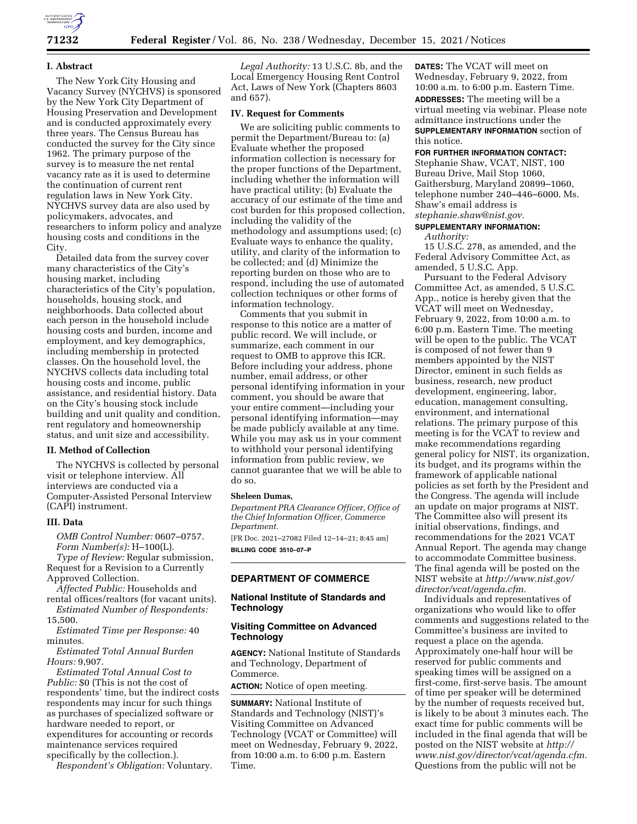

# **I. Abstract**

The New York City Housing and Vacancy Survey (NYCHVS) is sponsored by the New York City Department of Housing Preservation and Development and is conducted approximately every three years. The Census Bureau has conducted the survey for the City since 1962. The primary purpose of the survey is to measure the net rental vacancy rate as it is used to determine the continuation of current rent regulation laws in New York City. NYCHVS survey data are also used by policymakers, advocates, and researchers to inform policy and analyze housing costs and conditions in the City.

Detailed data from the survey cover many characteristics of the City's housing market, including characteristics of the City's population, households, housing stock, and neighborhoods. Data collected about each person in the household include housing costs and burden, income and employment, and key demographics, including membership in protected classes. On the household level, the NYCHVS collects data including total housing costs and income, public assistance, and residential history. Data on the City's housing stock include building and unit quality and condition, rent regulatory and homeownership status, and unit size and accessibility.

### **II. Method of Collection**

The NYCHVS is collected by personal visit or telephone interview. All interviews are conducted via a Computer-Assisted Personal Interview (CAPI) instrument.

#### **III. Data**

*OMB Control Number:* 0607–0757. *Form Number(s):* H–100(L).

*Type of Review:* Regular submission, Request for a Revision to a Currently Approved Collection.

*Affected Public:* Households and rental offices/realtors (for vacant units).

*Estimated Number of Respondents:*  15,500.

*Estimated Time per Response:* 40 minutes.

*Estimated Total Annual Burden Hours:* 9,907.

*Estimated Total Annual Cost to Public:* \$0 (This is not the cost of respondents' time, but the indirect costs respondents may incur for such things as purchases of specialized software or hardware needed to report, or expenditures for accounting or records maintenance services required specifically by the collection.).

*Respondent's Obligation:* Voluntary.

*Legal Authority:* 13 U.S.C. 8b, and the Local Emergency Housing Rent Control Act, Laws of New York (Chapters 8603 and 657).

# **IV. Request for Comments**

We are soliciting public comments to permit the Department/Bureau to: (a) Evaluate whether the proposed information collection is necessary for the proper functions of the Department, including whether the information will have practical utility; (b) Evaluate the accuracy of our estimate of the time and cost burden for this proposed collection, including the validity of the methodology and assumptions used; (c) Evaluate ways to enhance the quality, utility, and clarity of the information to be collected; and (d) Minimize the reporting burden on those who are to respond, including the use of automated collection techniques or other forms of information technology.

Comments that you submit in response to this notice are a matter of public record. We will include, or summarize, each comment in our request to OMB to approve this ICR. Before including your address, phone number, email address, or other personal identifying information in your comment, you should be aware that your entire comment—including your personal identifying information—may be made publicly available at any time. While you may ask us in your comment to withhold your personal identifying information from public review, we cannot guarantee that we will be able to do so.

#### **Sheleen Dumas,**

*Department PRA Clearance Officer, Office of the Chief Information Officer, Commerce Department.* 

[FR Doc. 2021–27082 Filed 12–14–21; 8:45 am] **BILLING CODE 3510–07–P** 

# **DEPARTMENT OF COMMERCE**

#### **National Institute of Standards and Technology**

#### **Visiting Committee on Advanced Technology**

**AGENCY:** National Institute of Standards and Technology, Department of Commerce.

**ACTION:** Notice of open meeting.

**SUMMARY:** National Institute of Standards and Technology (NIST)'s Visiting Committee on Advanced Technology (VCAT or Committee) will meet on Wednesday, February 9, 2022, from 10:00 a.m. to 6:00 p.m. Eastern Time.

**DATES:** The VCAT will meet on Wednesday, February 9, 2022, from 10:00 a.m. to 6:00 p.m. Eastern Time. **ADDRESSES:** The meeting will be a virtual meeting via webinar. Please note admittance instructions under the **SUPPLEMENTARY INFORMATION** section of this notice.

**FOR FURTHER INFORMATION CONTACT:**  Stephanie Shaw, VCAT, NIST, 100 Bureau Drive, Mail Stop 1060, Gaithersburg, Maryland 20899–1060, telephone number 240–446–6000. Ms. Shaw's email address is *[stephanie.shaw@nist.gov.](mailto:stephanie.shaw@nist.gov)* 

# **SUPPLEMENTARY INFORMATION:**

*Authority:* 

15 U.S.C. 278, as amended, and the Federal Advisory Committee Act, as amended, 5 U.S.C. App.

Pursuant to the Federal Advisory Committee Act, as amended, 5 U.S.C. App., notice is hereby given that the VCAT will meet on Wednesday, February 9, 2022, from 10:00 a.m. to 6:00 p.m. Eastern Time. The meeting will be open to the public. The VCAT is composed of not fewer than 9 members appointed by the NIST Director, eminent in such fields as business, research, new product development, engineering, labor, education, management consulting, environment, and international relations. The primary purpose of this meeting is for the VCAT to review and make recommendations regarding general policy for NIST, its organization, its budget, and its programs within the framework of applicable national policies as set forth by the President and the Congress. The agenda will include an update on major programs at NIST. The Committee also will present its initial observations, findings, and recommendations for the 2021 VCAT Annual Report. The agenda may change to accommodate Committee business. The final agenda will be posted on the NIST website at *[http://www.nist.gov/](http://www.nist.gov/director/vcat/agenda.cfm)  [director/vcat/agenda.cfm.](http://www.nist.gov/director/vcat/agenda.cfm)* 

Individuals and representatives of organizations who would like to offer comments and suggestions related to the Committee's business are invited to request a place on the agenda. Approximately one-half hour will be reserved for public comments and speaking times will be assigned on a first-come, first-serve basis. The amount of time per speaker will be determined by the number of requests received but, is likely to be about 3 minutes each. The exact time for public comments will be included in the final agenda that will be posted on the NIST website at *[http://](http://www.nist.gov/director/vcat/agenda.cfm) [www.nist.gov/director/vcat/agenda.cfm.](http://www.nist.gov/director/vcat/agenda.cfm)*  Questions from the public will not be